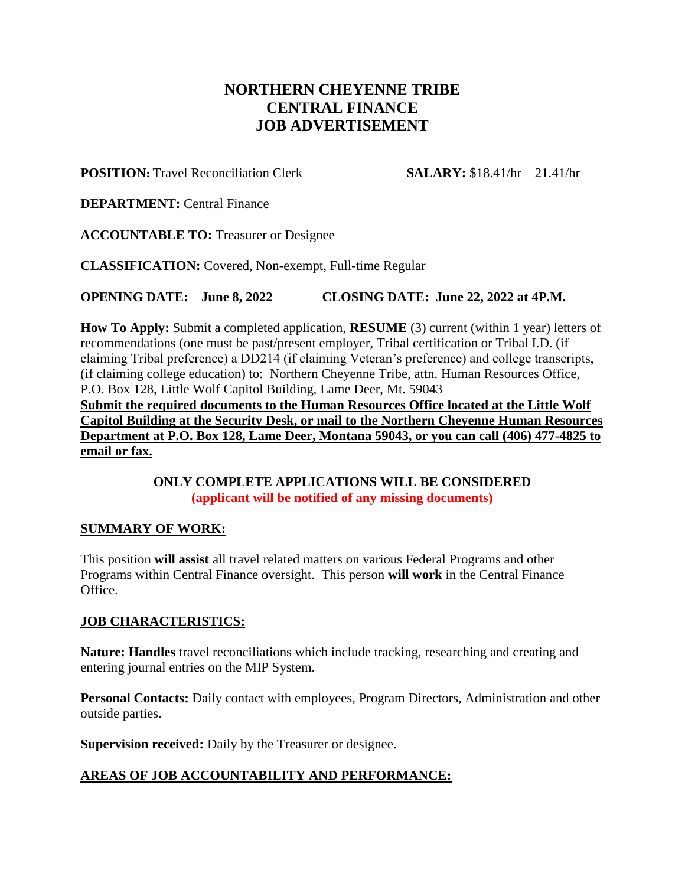# **NORTHERN CHEYENNE TRIBE CENTRAL FINANCE JOB ADVERTISEMENT**

**POSITION:** Travel Reconciliation Clerk **SALARY:** \$18.41/hr – 21.41/hr

**DEPARTMENT:** Central Finance

**ACCOUNTABLE TO:** Treasurer or Designee

**CLASSIFICATION:** Covered, Non-exempt, Full-time Regular

**OPENING DATE: June 8, 2022 CLOSING DATE: June 22, 2022 at 4P.M.**

**How To Apply:** Submit a completed application, **RESUME** (3) current (within 1 year) letters of recommendations (one must be past/present employer, Tribal certification or Tribal I.D. (if claiming Tribal preference) a DD214 (if claiming Veteran's preference) and college transcripts, (if claiming college education) to: Northern Cheyenne Tribe, attn. Human Resources Office, P.O. Box 128, Little Wolf Capitol Building, Lame Deer, Mt. 59043

**Submit the required documents to the Human Resources Office located at the Little Wolf Capitol Building at the Security Desk, or mail to the Northern Cheyenne Human Resources Department at P.O. Box 128, Lame Deer, Montana 59043, or you can call (406) 477-4825 to email or fax.**

> **ONLY COMPLETE APPLICATIONS WILL BE CONSIDERED (applicant will be notified of any missing documents)**

#### **SUMMARY OF WORK:**

This position **will assist** all travel related matters on various Federal Programs and other Programs within Central Finance oversight. This person **will work** in the Central Finance Office.

## **JOB CHARACTERISTICS:**

**Nature: Handles** travel reconciliations which include tracking, researching and creating and entering journal entries on the MIP System.

**Personal Contacts:** Daily contact with employees, Program Directors, Administration and other outside parties.

**Supervision received:** Daily by the Treasurer or designee.

## **AREAS OF JOB ACCOUNTABILITY AND PERFORMANCE:**